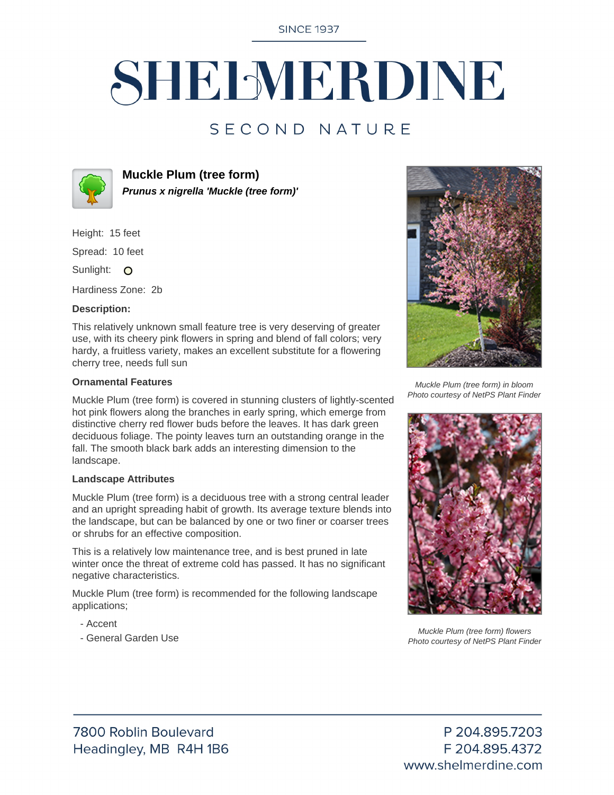**SINCE 1937** 

# SHELMERDINE

### SECOND NATURE



**Muckle Plum (tree form) Prunus x nigrella 'Muckle (tree form)'**

Height: 15 feet

Spread: 10 feet

Sunlight: O

Hardiness Zone: 2b

#### **Description:**

This relatively unknown small feature tree is very deserving of greater use, with its cheery pink flowers in spring and blend of fall colors; very hardy, a fruitless variety, makes an excellent substitute for a flowering cherry tree, needs full sun

#### **Ornamental Features**

Muckle Plum (tree form) is covered in stunning clusters of lightly-scented hot pink flowers along the branches in early spring, which emerge from distinctive cherry red flower buds before the leaves. It has dark green deciduous foliage. The pointy leaves turn an outstanding orange in the fall. The smooth black bark adds an interesting dimension to the landscape.

#### **Landscape Attributes**

Muckle Plum (tree form) is a deciduous tree with a strong central leader and an upright spreading habit of growth. Its average texture blends into the landscape, but can be balanced by one or two finer or coarser trees or shrubs for an effective composition.

This is a relatively low maintenance tree, and is best pruned in late winter once the threat of extreme cold has passed. It has no significant negative characteristics.

Muckle Plum (tree form) is recommended for the following landscape applications;

- Accent
- General Garden Use



Muckle Plum (tree form) in bloom Photo courtesy of NetPS Plant Finder



Muckle Plum (tree form) flowers Photo courtesy of NetPS Plant Finder